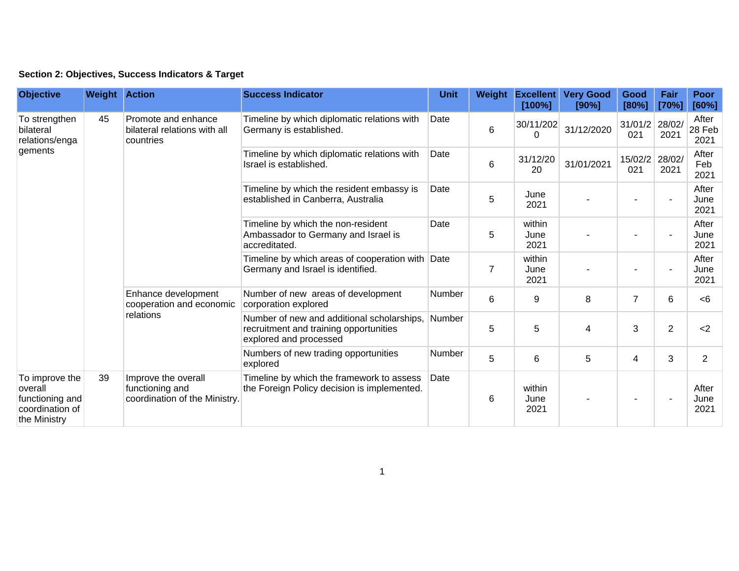## **Section 2: Objectives, Success Indicators & Target**

| <b>Objective</b>                                                                | <b>Weight Action</b> |                                                                         | <b>Success Indicator</b>                                                                                       | <b>Unit</b> |                | Weight Excellent<br>[100%] | <b>Very Good</b><br>[90%] | Good<br>[80%]  | Fair<br>[70%]  | Poor<br>[60%]           |
|---------------------------------------------------------------------------------|----------------------|-------------------------------------------------------------------------|----------------------------------------------------------------------------------------------------------------|-------------|----------------|----------------------------|---------------------------|----------------|----------------|-------------------------|
| To strengthen<br>bilateral<br>relations/enga<br>gements                         | 45                   | Promote and enhance<br>bilateral relations with all<br>countries        | Timeline by which diplomatic relations with<br>Germany is established.                                         | Date        | 6              | 30/11/202<br>0             | 31/12/2020                | 31/01/2<br>021 | 28/02/<br>2021 | After<br>28 Feb<br>2021 |
|                                                                                 |                      |                                                                         | Timeline by which diplomatic relations with<br>Israel is established.                                          | Date        | 6              | 31/12/20<br>20             | 31/01/2021                | 15/02/2<br>021 | 28/02/<br>2021 | After<br>Feb<br>2021    |
|                                                                                 |                      |                                                                         | Timeline by which the resident embassy is<br>established in Canberra, Australia                                | Date        | $\overline{5}$ | June<br>2021               |                           |                | ٠              | After<br>June<br>2021   |
|                                                                                 |                      |                                                                         | Timeline by which the non-resident<br>Ambassador to Germany and Israel is<br>accreditated.                     | Date        | 5              | within<br>June<br>2021     |                           |                | ٠              | After<br>June<br>2021   |
|                                                                                 |                      |                                                                         | Timeline by which areas of cooperation with Date<br>Germany and Israel is identified.                          |             | $\overline{7}$ | within<br>June<br>2021     |                           |                |                | After<br>June<br>2021   |
|                                                                                 |                      | Enhance development<br>cooperation and economic<br>relations            | Number of new areas of development<br>corporation explored                                                     | Number      | $6\phantom{1}$ | 9                          | 8                         | $\overline{7}$ | 6              | <6                      |
|                                                                                 |                      |                                                                         | Number of new and additional scholarships,<br>recruitment and training opportunities<br>explored and processed | Number      | 5              | 5                          | 4                         | 3              | $\overline{2}$ | $2$                     |
|                                                                                 |                      |                                                                         | Numbers of new trading opportunities<br>explored                                                               | Number      | 5              | 6                          | 5                         | 4              | 3              | $\overline{2}$          |
| To improve the<br>overall<br>functioning and<br>coordination of<br>the Ministry | 39                   | Improve the overall<br>functioning and<br>coordination of the Ministry. | Timeline by which the framework to assess<br>the Foreign Policy decision is implemented.                       | Date        | 6              | within<br>June<br>2021     |                           |                |                | After<br>June<br>2021   |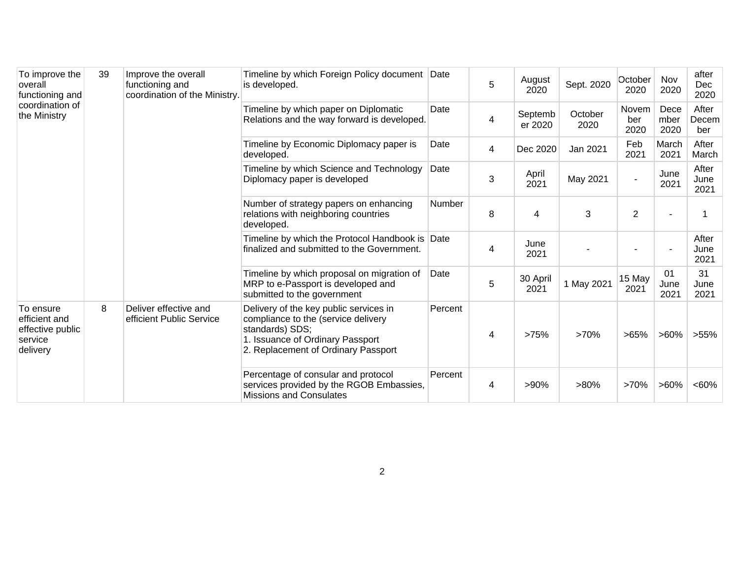| To improve the<br>overall<br>functioning and<br>coordination of<br>the Ministry | 39 | Improve the overall<br>functioning and<br>coordination of the Ministry. | Timeline by which Foreign Policy document Date<br>is developed.                                                                                                             |         | 5 | August<br>2020     | Sept. 2020      | October<br>2020      | Nov<br>2020          | after<br>Dec<br>2020  |
|---------------------------------------------------------------------------------|----|-------------------------------------------------------------------------|-----------------------------------------------------------------------------------------------------------------------------------------------------------------------------|---------|---|--------------------|-----------------|----------------------|----------------------|-----------------------|
|                                                                                 |    |                                                                         | Timeline by which paper on Diplomatic<br>Relations and the way forward is developed.                                                                                        | Date    | 4 | Septemb<br>er 2020 | October<br>2020 | Novem<br>ber<br>2020 | Dece<br>mber<br>2020 | After<br>Decem<br>ber |
|                                                                                 |    |                                                                         | Timeline by Economic Diplomacy paper is<br>developed.                                                                                                                       | Date    | 4 | Dec 2020           | Jan 2021        | Feb<br>2021          | March<br>2021        | After<br>March        |
|                                                                                 |    |                                                                         | Timeline by which Science and Technology<br>Diplomacy paper is developed                                                                                                    | Date    | 3 | April<br>2021      | May 2021        |                      | June<br>2021         | After<br>June<br>2021 |
|                                                                                 |    |                                                                         | Number of strategy papers on enhancing<br>relations with neighboring countries<br>developed.                                                                                | Number  | 8 | 4                  | 3               | 2                    |                      |                       |
|                                                                                 |    |                                                                         | Timeline by which the Protocol Handbook is<br>finalized and submitted to the Government.                                                                                    | Date    | 4 | June<br>2021       |                 |                      |                      | After<br>June<br>2021 |
|                                                                                 |    |                                                                         | Timeline by which proposal on migration of<br>MRP to e-Passport is developed and<br>submitted to the government                                                             | Date    | 5 | 30 April<br>2021   | 1 May 2021      | 15 May<br>2021       | 01<br>June<br>2021   | 31<br>June<br>2021    |
| To ensure<br>efficient and<br>effective public<br>service<br>delivery           | 8  | Deliver effective and<br>efficient Public Service                       | Delivery of the key public services in<br>compliance to the (service delivery<br>standards) SDS;<br>1. Issuance of Ordinary Passport<br>2. Replacement of Ordinary Passport | Percent | 4 | >75%               | >70%            | >65%                 | $>60\%$              | $>55\%$               |
|                                                                                 |    |                                                                         | Percentage of consular and protocol<br>services provided by the RGOB Embassies,<br><b>Missions and Consulates</b>                                                           | Percent | 4 | $>90\%$            | $>80\%$         | >70%                 | $>60\%$              | <60%                  |